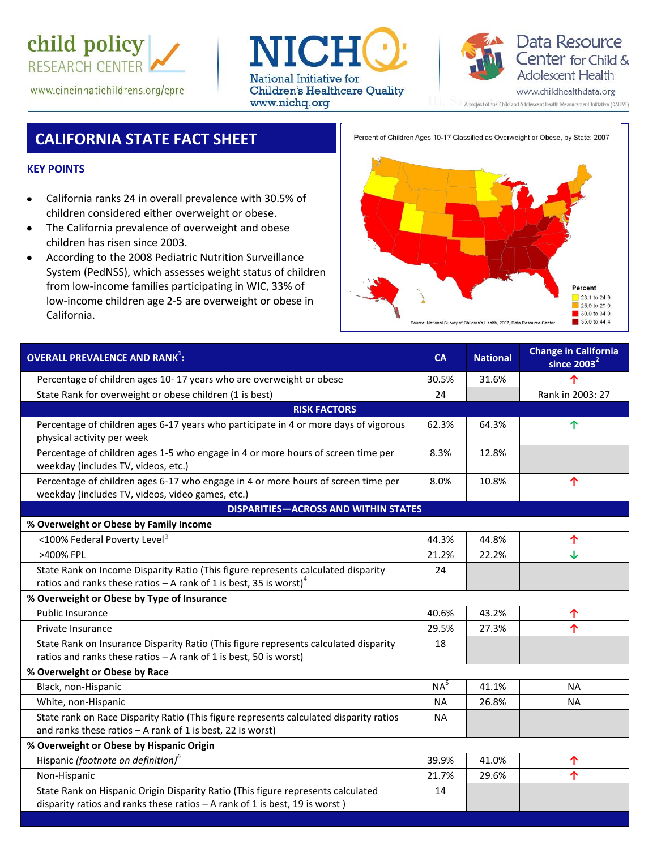

www.cincinnatichildrens.org/cprc





A project of the Child and Adolescent Health Measurement Initiative (CAHMI)

# **CALIFORNIA STATE FACT SHEET**

Percent of Children Ages 10-17 Classified as Overweight or Obese, by State: 2007

### **KEY POINTS**

- California ranks 24 in overall prevalence with 30.5% of children considered either overweight or obese.
- The California prevalence of overweight and obese  $\bullet$ children has risen since 2003.
- According to the 2008 Pediatric Nutrition Surveillance  $\bullet$ System (PedNSS), which assesses weight status of children from low-income families participating in WIC, 33% of low-income children age 2-5 are overweight or obese in California.



| <b>OVERALL PREVALENCE AND RANK<sup>1</sup>:</b>                                                                                                                   | CA              | <b>National</b> | <b>Change in California</b><br>since $2003^2$ |  |  |
|-------------------------------------------------------------------------------------------------------------------------------------------------------------------|-----------------|-----------------|-----------------------------------------------|--|--|
| Percentage of children ages 10-17 years who are overweight or obese                                                                                               | 30.5%           | 31.6%           | 个                                             |  |  |
| State Rank for overweight or obese children (1 is best)                                                                                                           | 24              |                 | Rank in 2003: 27                              |  |  |
| <b>RISK FACTORS</b>                                                                                                                                               |                 |                 |                                               |  |  |
| Percentage of children ages 6-17 years who participate in 4 or more days of vigorous<br>physical activity per week                                                | 62.3%           | 64.3%           | 个                                             |  |  |
| Percentage of children ages 1-5 who engage in 4 or more hours of screen time per<br>weekday (includes TV, videos, etc.)                                           | 8.3%            | 12.8%           |                                               |  |  |
| Percentage of children ages 6-17 who engage in 4 or more hours of screen time per<br>weekday (includes TV, videos, video games, etc.)                             | 8.0%            | 10.8%           | 个                                             |  |  |
| <b>DISPARITIES-ACROSS AND WITHIN STATES</b>                                                                                                                       |                 |                 |                                               |  |  |
| % Overweight or Obese by Family Income                                                                                                                            |                 |                 |                                               |  |  |
| <100% Federal Poverty Level <sup>3</sup>                                                                                                                          | 44.3%           | 44.8%           | 个                                             |  |  |
| >400% FPL                                                                                                                                                         | 21.2%           | 22.2%           | ↓                                             |  |  |
| State Rank on Income Disparity Ratio (This figure represents calculated disparity                                                                                 | 24              |                 |                                               |  |  |
| ratios and ranks these ratios – A rank of 1 is best, 35 is worst) <sup>4</sup>                                                                                    |                 |                 |                                               |  |  |
| % Overweight or Obese by Type of Insurance                                                                                                                        |                 |                 |                                               |  |  |
| <b>Public Insurance</b>                                                                                                                                           | 40.6%           | 43.2%           | 个                                             |  |  |
| Private Insurance                                                                                                                                                 | 29.5%           | 27.3%           | 个                                             |  |  |
| State Rank on Insurance Disparity Ratio (This figure represents calculated disparity<br>ratios and ranks these ratios - A rank of 1 is best, 50 is worst)         | 18              |                 |                                               |  |  |
| % Overweight or Obese by Race                                                                                                                                     |                 |                 |                                               |  |  |
| Black, non-Hispanic                                                                                                                                               | NA <sup>5</sup> | 41.1%           | <b>NA</b>                                     |  |  |
| White, non-Hispanic                                                                                                                                               | <b>NA</b>       | 26.8%           | <b>NA</b>                                     |  |  |
| State rank on Race Disparity Ratio (This figure represents calculated disparity ratios<br>and ranks these ratios $-$ A rank of 1 is best, 22 is worst)            | <b>NA</b>       |                 |                                               |  |  |
| % Overweight or Obese by Hispanic Origin                                                                                                                          |                 |                 |                                               |  |  |
| Hispanic (footnote on definition) <sup>6</sup>                                                                                                                    | 39.9%           | 41.0%           | 个                                             |  |  |
| Non-Hispanic                                                                                                                                                      | 21.7%           | 29.6%           | 个                                             |  |  |
| State Rank on Hispanic Origin Disparity Ratio (This figure represents calculated<br>disparity ratios and ranks these ratios $-$ A rank of 1 is best, 19 is worst) | 14              |                 |                                               |  |  |
|                                                                                                                                                                   |                 |                 |                                               |  |  |